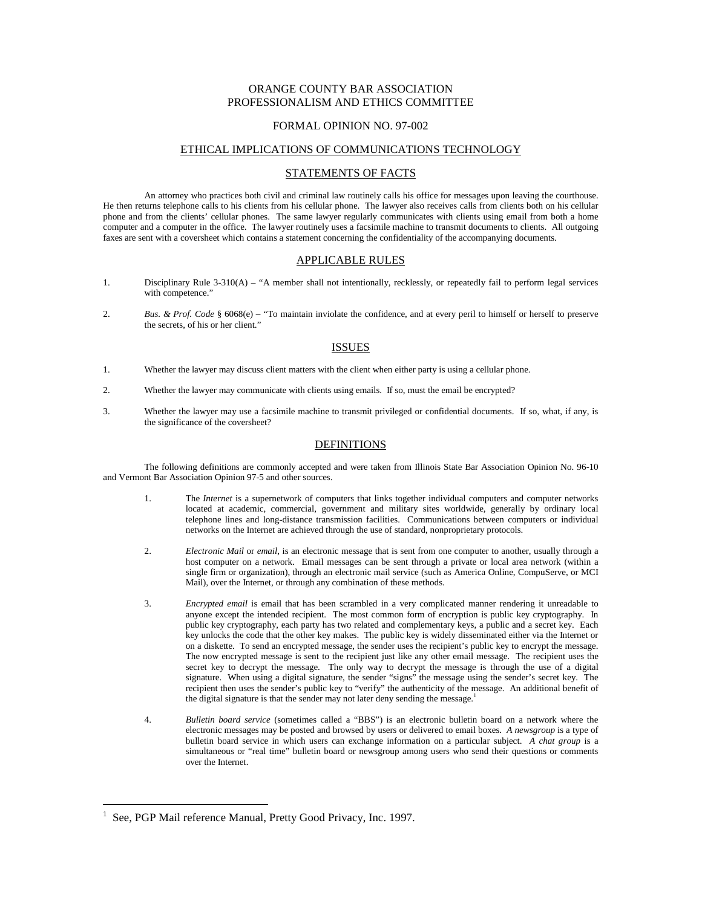# ORANGE COUNTY BAR ASSOCIATION PROFESSIONALISM AND ETHICS COMMITTEE

#### FORMAL OPINION NO. 97-002

## ETHICAL IMPLICATIONS OF COMMUNICATIONS TECHNOLOGY

### STATEMENTS OF FACTS

 An attorney who practices both civil and criminal law routinely calls his office for messages upon leaving the courthouse. He then returns telephone calls to his clients from his cellular phone. The lawyer also receives calls from clients both on his cellular phone and from the clients' cellular phones. The same lawyer regularly communicates with clients using email from both a home computer and a computer in the office. The lawyer routinely uses a facsimile machine to transmit documents to clients. All outgoing faxes are sent with a coversheet which contains a statement concerning the confidentiality of the accompanying documents.

## APPLICABLE RULES

- 1. Disciplinary Rule 3-310(A) "A member shall not intentionally, recklessly, or repeatedly fail to perform legal services with competence."
- 2. *Bus. & Prof. Code* § 6068(e) "To maintain inviolate the confidence, and at every peril to himself or herself to preserve the secrets, of his or her client."

### **ISSUES**

- 1. Whether the lawyer may discuss client matters with the client when either party is using a cellular phone.
- 2. Whether the lawyer may communicate with clients using emails. If so, must the email be encrypted?
- 3. Whether the lawyer may use a facsimile machine to transmit privileged or confidential documents. If so, what, if any, is the significance of the coversheet?

## DEFINITIONS

 The following definitions are commonly accepted and were taken from Illinois State Bar Association Opinion No. 96-10 and Vermont Bar Association Opinion 97-5 and other sources.

- 1. The *Internet* is a supernetwork of computers that links together individual computers and computer networks located at academic, commercial, government and military sites worldwide, generally by ordinary local telephone lines and long-distance transmission facilities. Communications between computers or individual networks on the Internet are achieved through the use of standard, nonproprietary protocols.
- 2. *Electronic Mail* or *email*, is an electronic message that is sent from one computer to another, usually through a host computer on a network. Email messages can be sent through a private or local area network (within a single firm or organization), through an electronic mail service (such as America Online, CompuServe, or MCI Mail), over the Internet, or through any combination of these methods.
- 3. *Encrypted email* is email that has been scrambled in a very complicated manner rendering it unreadable to anyone except the intended recipient. The most common form of encryption is public key cryptography. In public key cryptography, each party has two related and complementary keys, a public and a secret key. Each key unlocks the code that the other key makes. The public key is widely disseminated either via the Internet or on a diskette. To send an encrypted message, the sender uses the recipient's public key to encrypt the message. The now encrypted message is sent to the recipient just like any other email message. The recipient uses the secret key to decrypt the message. The only way to decrypt the message is through the use of a digital signature. When using a digital signature, the sender "signs" the message using the sender's secret key. The recipient then uses the sender's public key to "verify" the authenticity of the message. An additional benefit of the digital signature is that the sender may not later deny sending the message.
- 4. *Bulletin board service* (sometimes called a "BBS") is an electronic bulletin board on a network where the electronic messages may be posted and browsed by users or delivered to email boxes. *A newsgroup* is a type of bulletin board service in which users can exchange information on a particular subject. *A chat group* is a simultaneous or "real time" bulletin board or newsgroup among users who send their questions or comments over the Internet.

<u>.</u>

<sup>1</sup> See, PGP Mail reference Manual, Pretty Good Privacy, Inc. 1997.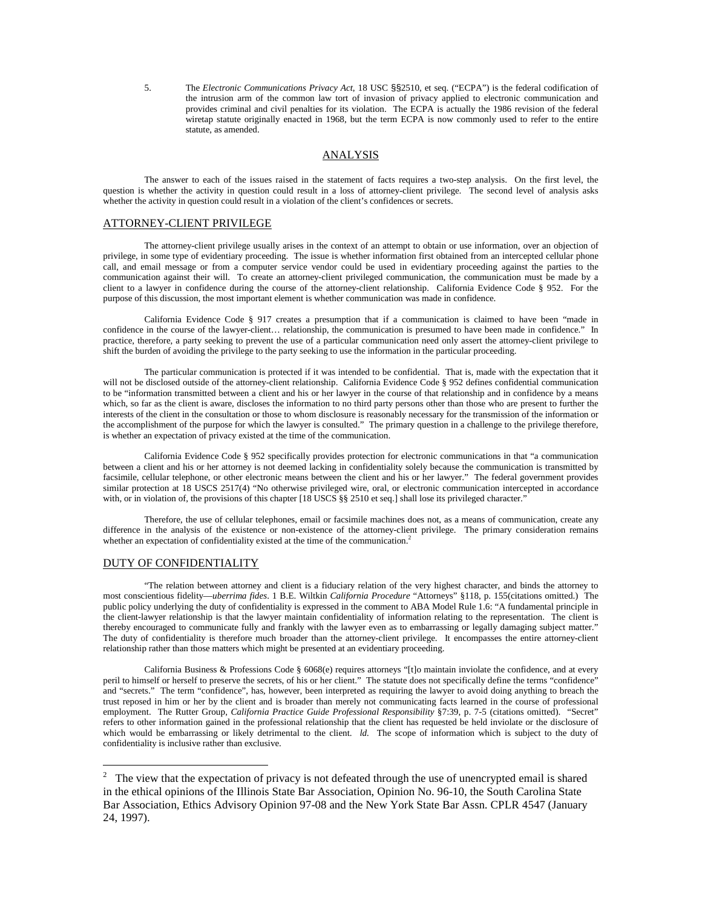5. The *Electronic Communications Privacy Act*, 18 USC §§2510, et seq. ("ECPA") is the federal codification of the intrusion arm of the common law tort of invasion of privacy applied to electronic communication and provides criminal and civil penalties for its violation. The ECPA is actually the 1986 revision of the federal wiretap statute originally enacted in 1968, but the term ECPA is now commonly used to refer to the entire statute, as amended.

#### ANALYSIS

 The answer to each of the issues raised in the statement of facts requires a two-step analysis. On the first level, the question is whether the activity in question could result in a loss of attorney-client privilege. The second level of analysis asks whether the activity in question could result in a violation of the client's confidences or secrets.

#### ATTORNEY-CLIENT PRIVILEGE

 The attorney-client privilege usually arises in the context of an attempt to obtain or use information, over an objection of privilege, in some type of evidentiary proceeding. The issue is whether information first obtained from an intercepted cellular phone call, and email message or from a computer service vendor could be used in evidentiary proceeding against the parties to the communication against their will. To create an attorney-client privileged communication, the communication must be made by a client to a lawyer in confidence during the course of the attorney-client relationship. California Evidence Code § 952. For the purpose of this discussion, the most important element is whether communication was made in confidence.

 California Evidence Code § 917 creates a presumption that if a communication is claimed to have been "made in confidence in the course of the lawyer-client… relationship, the communication is presumed to have been made in confidence." In practice, therefore, a party seeking to prevent the use of a particular communication need only assert the attorney-client privilege to shift the burden of avoiding the privilege to the party seeking to use the information in the particular proceeding.

 The particular communication is protected if it was intended to be confidential. That is, made with the expectation that it will not be disclosed outside of the attorney-client relationship. California Evidence Code § 952 defines confidential communication to be "information transmitted between a client and his or her lawyer in the course of that relationship and in confidence by a means which, so far as the client is aware, discloses the information to no third party persons other than those who are present to further the interests of the client in the consultation or those to whom disclosure is reasonably necessary for the transmission of the information or the accomplishment of the purpose for which the lawyer is consulted." The primary question in a challenge to the privilege therefore, is whether an expectation of privacy existed at the time of the communication.

 California Evidence Code § 952 specifically provides protection for electronic communications in that "a communication between a client and his or her attorney is not deemed lacking in confidentiality solely because the communication is transmitted by facsimile, cellular telephone, or other electronic means between the client and his or her lawyer." The federal government provides similar protection at 18 USCS 2517(4) "No otherwise privileged wire, oral, or electronic communication intercepted in accordance with, or in violation of, the provisions of this chapter [18 USCS §§ 2510 et seq.] shall lose its privileged character."

 Therefore, the use of cellular telephones, email or facsimile machines does not, as a means of communication, create any difference in the analysis of the existence or non-existence of the attorney-client privilege. The primary consideration remains whether an expectation of confidentiality existed at the time of the communication.<sup>2</sup>

### DUTY OF CONFIDENTIALITY

<u>.</u>

 "The relation between attorney and client is a fiduciary relation of the very highest character, and binds the attorney to most conscientious fidelity—*uberrima fides*. 1 B.E. Wiltkin *California Procedure* "Attorneys" §118, p. 155(citations omitted.) The public policy underlying the duty of confidentiality is expressed in the comment to ABA Model Rule 1.6: "A fundamental principle in the client-lawyer relationship is that the lawyer maintain confidentiality of information relating to the representation. The client is thereby encouraged to communicate fully and frankly with the lawyer even as to embarrassing or legally damaging subject matter." The duty of confidentiality is therefore much broader than the attorney-client privilege. It encompasses the entire attorney-client relationship rather than those matters which might be presented at an evidentiary proceeding.

 California Business & Professions Code § 6068(e) requires attorneys "[t]o maintain inviolate the confidence, and at every peril to himself or herself to preserve the secrets, of his or her client." The statute does not specifically define the terms "confidence" and "secrets." The term "confidence", has, however, been interpreted as requiring the lawyer to avoid doing anything to breach the trust reposed in him or her by the client and is broader than merely not communicating facts learned in the course of professional employment. The Rutter Group, *California Practice Guide Professional Responsibility* §7:39, p. 7-5 (citations omitted). "Secret" refers to other information gained in the professional relationship that the client has requested be held inviolate or the disclosure of which would be embarrassing or likely detrimental to the client. *ld.* The scope of information which is subject to the duty of confidentiality is inclusive rather than exclusive.

 $2$  The view that the expectation of privacy is not defeated through the use of unencrypted email is shared in the ethical opinions of the Illinois State Bar Association, Opinion No. 96-10, the South Carolina State Bar Association, Ethics Advisory Opinion 97-08 and the New York State Bar Assn. CPLR 4547 (January 24, 1997).